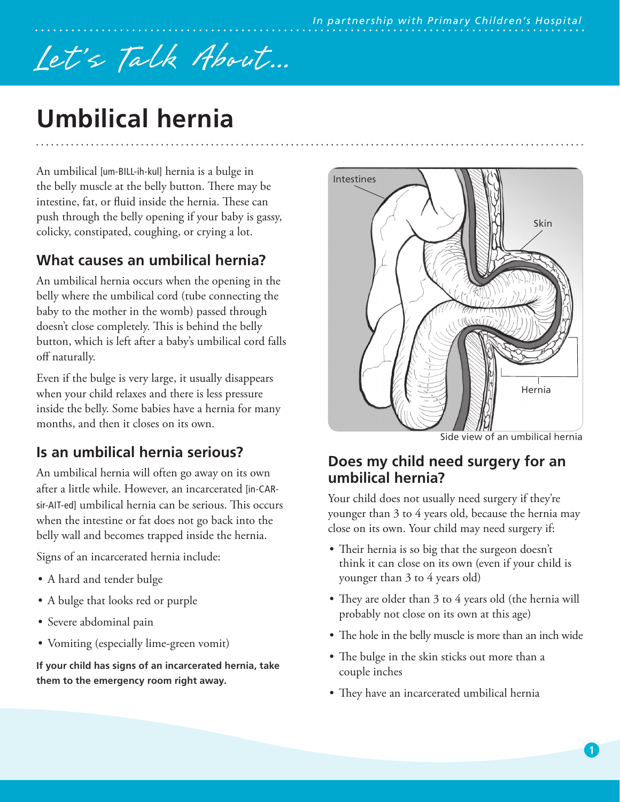# Let's Talk About...

## **Umbilical hernia**

An umbilical [um-BILL-ih-kul] hernia is a bulge in the belly muscle at the belly button. There may be intestine, fat, or fluid inside the hernia. These can push through the belly opening if your baby is gassy, colicky, constipated, coughing, or crying a lot.

## **What causes an umbilical hernia?**

An umbilical hernia occurs when the opening in the belly where the umbilical cord (tube connecting the baby to the mother in the womb) passed through doesn't close completely. This is behind the belly button, which is left after a baby's umbilical cord falls off naturally.

Even if the bulge is very large, it usually disappears when your child relaxes and there is less pressure inside the belly. Some babies have a hernia for many months, and then it closes on its own.

## **Is an umbilical hernia serious?**

An umbilical hernia will often go away on its own after a little while. However, an incarcerated [in-CARsir-AIT-ed] umbilical hernia can be serious. This occurs when the intestine or fat does not go back into the belly wall and becomes trapped inside the hernia.

Signs of an incarcerated hernia include:

- A hard and tender bulge
- A bulge that looks red or purple
- Severe abdominal pain
- Vomiting (especially lime-green vomit)

**If your child has signs of an incarcerated hernia, take them to the emergency room right away.**



Side view of an umbilical hernia

#### **Does my child need surgery for an umbilical hernia?**

Your child does not usually need surgery if they're younger than 3 to 4 years old, because the hernia may close on its own. Your child may need surgery if:

- Their hernia is so big that the surgeon doesn't think it can close on its own (even if your child is younger than 3 to 4 years old)
- They are older than 3 to 4 years old (the hernia will probably not close on its own at this age)
- The hole in the belly muscle is more than an inch wide
- The bulge in the skin sticks out more than a couple inches
- They have an incarcerated umbilical hernia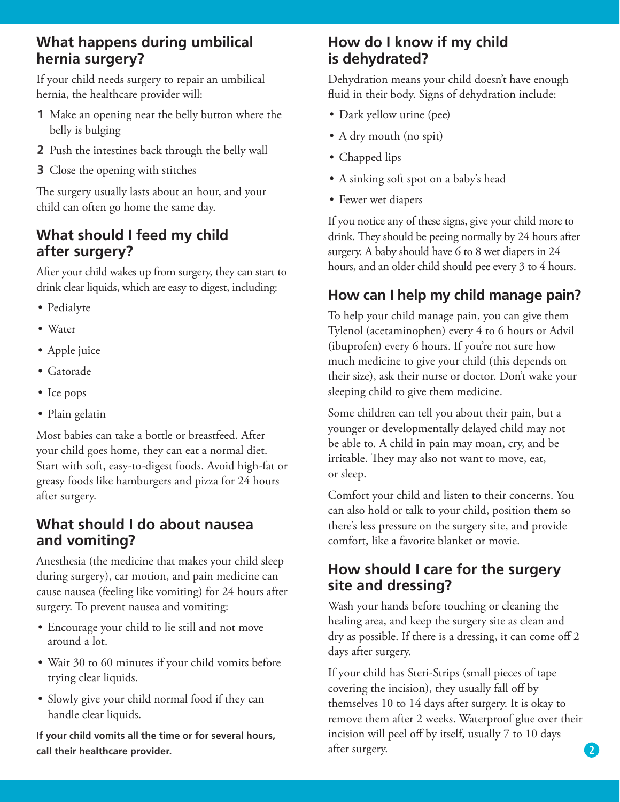#### **What happens during umbilical hernia surgery?**

If your child needs surgery to repair an umbilical hernia, the healthcare provider will:

- **1** Make an opening near the belly button where the belly is bulging
- **2** Push the intestines back through the belly wall
- **3** Close the opening with stitches

The surgery usually lasts about an hour, and your child can often go home the same day.

## **What should I feed my child after surgery?**

After your child wakes up from surgery, they can start to drink clear liquids, which are easy to digest, including:

- Pedialyte
- Water
- Apple juice
- Gatorade
- Ice pops
- Plain gelatin

Most babies can take a bottle or breastfeed. After your child goes home, they can eat a normal diet. Start with soft, easy-to-digest foods. Avoid high-fat or greasy foods like hamburgers and pizza for 24 hours after surgery.

## **What should I do about nausea and vomiting?**

Anesthesia (the medicine that makes your child sleep during surgery), car motion, and pain medicine can cause nausea (feeling like vomiting) for 24 hours after surgery. To prevent nausea and vomiting:

- Encourage your child to lie still and not move around a lot.
- Wait 30 to 60 minutes if your child vomits before trying clear liquids.
- Slowly give your child normal food if they can handle clear liquids.

**If your child vomits all the time or for several hours, call their healthcare provider.** 

#### **How do I know if my child is dehydrated?**

Dehydration means your child doesn't have enough fluid in their body. Signs of dehydration include:

- Dark yellow urine (pee)
- A dry mouth (no spit)
- Chapped lips
- A sinking soft spot on a baby's head
- Fewer wet diapers

If you notice any of these signs, give your child more to drink. They should be peeing normally by 24 hours after surgery. A baby should have 6 to 8 wet diapers in 24 hours, and an older child should pee every 3 to 4 hours.

## **How can I help my child manage pain?**

To help your child manage pain, you can give them Tylenol (acetaminophen) every 4 to 6 hours or Advil (ibuprofen) every 6 hours. If you're not sure how much medicine to give your child (this depends on their size), ask their nurse or doctor. Don't wake your sleeping child to give them medicine.

Some children can tell you about their pain, but a younger or developmentally delayed child may not be able to. A child in pain may moan, cry, and be irritable. They may also not want to move, eat, or sleep.

Comfort your child and listen to their concerns. You can also hold or talk to your child, position them so there's less pressure on the surgery site, and provide comfort, like a favorite blanket or movie.

## **How should I care for the surgery site and dressing?**

Wash your hands before touching or cleaning the healing area, and keep the surgery site as clean and dry as possible. If there is a dressing, it can come off 2 days after surgery.

If your child has Steri-Strips (small pieces of tape covering the incision), they usually fall off by themselves 10 to 14 days after surgery. It is okay to remove them after 2 weeks. Waterproof glue over their incision will peel off by itself, usually 7 to 10 days after surgery.

**2**